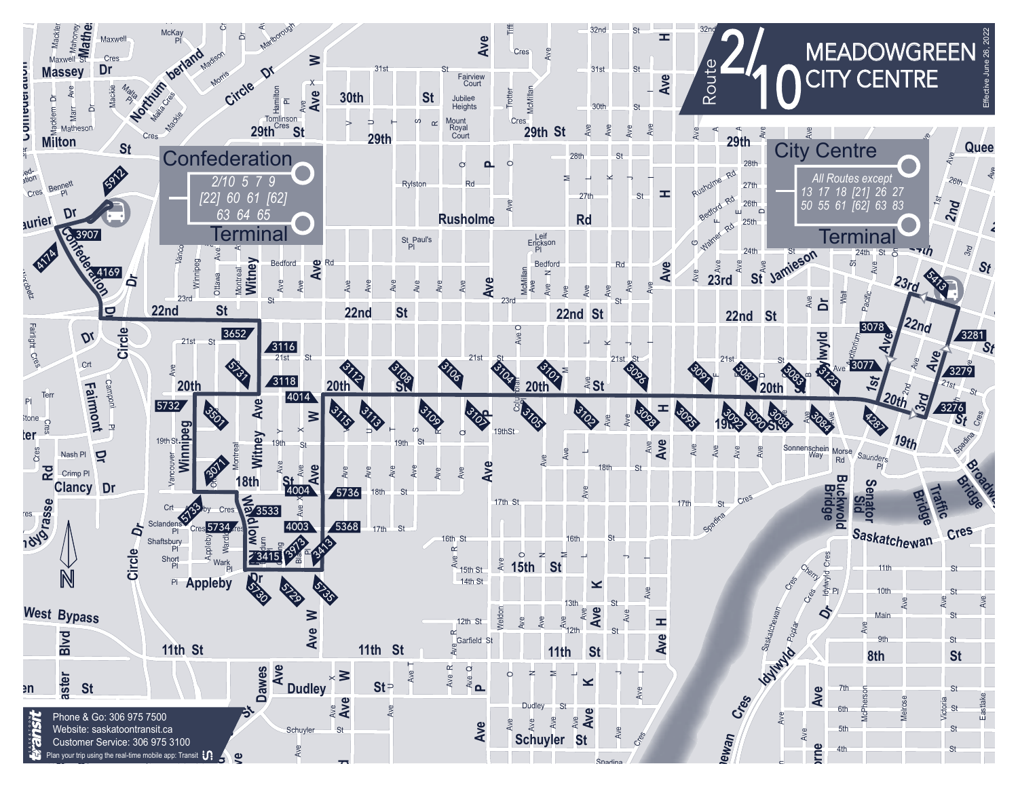